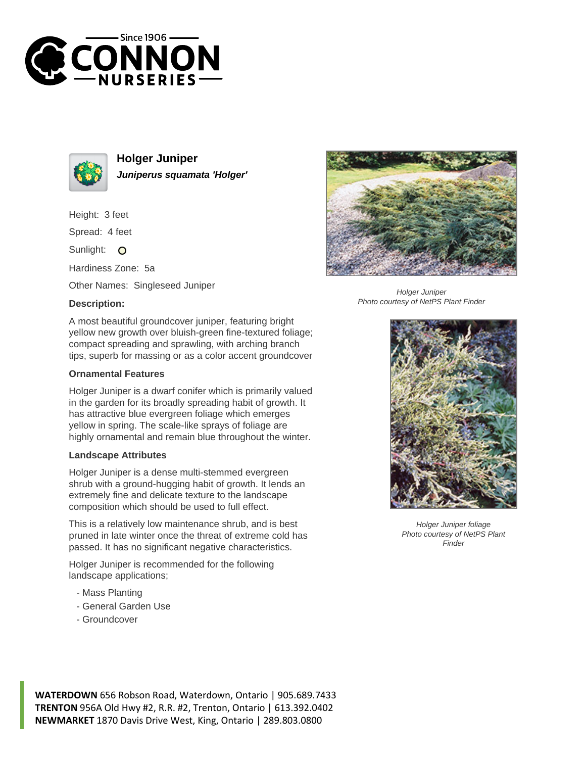



**Holger Juniper Juniperus squamata 'Holger'**

Height: 3 feet

Spread: 4 feet

Sunlight: O

Hardiness Zone: 5a

Other Names: Singleseed Juniper

## **Description:**



## **Ornamental Features**

Holger Juniper is a dwarf conifer which is primarily valued in the garden for its broadly spreading habit of growth. It has attractive blue evergreen foliage which emerges yellow in spring. The scale-like sprays of foliage are highly ornamental and remain blue throughout the winter.

## **Landscape Attributes**

Holger Juniper is a dense multi-stemmed evergreen shrub with a ground-hugging habit of growth. It lends an extremely fine and delicate texture to the landscape composition which should be used to full effect.

This is a relatively low maintenance shrub, and is best pruned in late winter once the threat of extreme cold has passed. It has no significant negative characteristics.

Holger Juniper is recommended for the following landscape applications;

- Mass Planting
- General Garden Use
- Groundcover



Holger Juniper Photo courtesy of NetPS Plant Finder



Holger Juniper foliage Photo courtesy of NetPS Plant Finder

**WATERDOWN** 656 Robson Road, Waterdown, Ontario | 905.689.7433 **TRENTON** 956A Old Hwy #2, R.R. #2, Trenton, Ontario | 613.392.0402 **NEWMARKET** 1870 Davis Drive West, King, Ontario | 289.803.0800